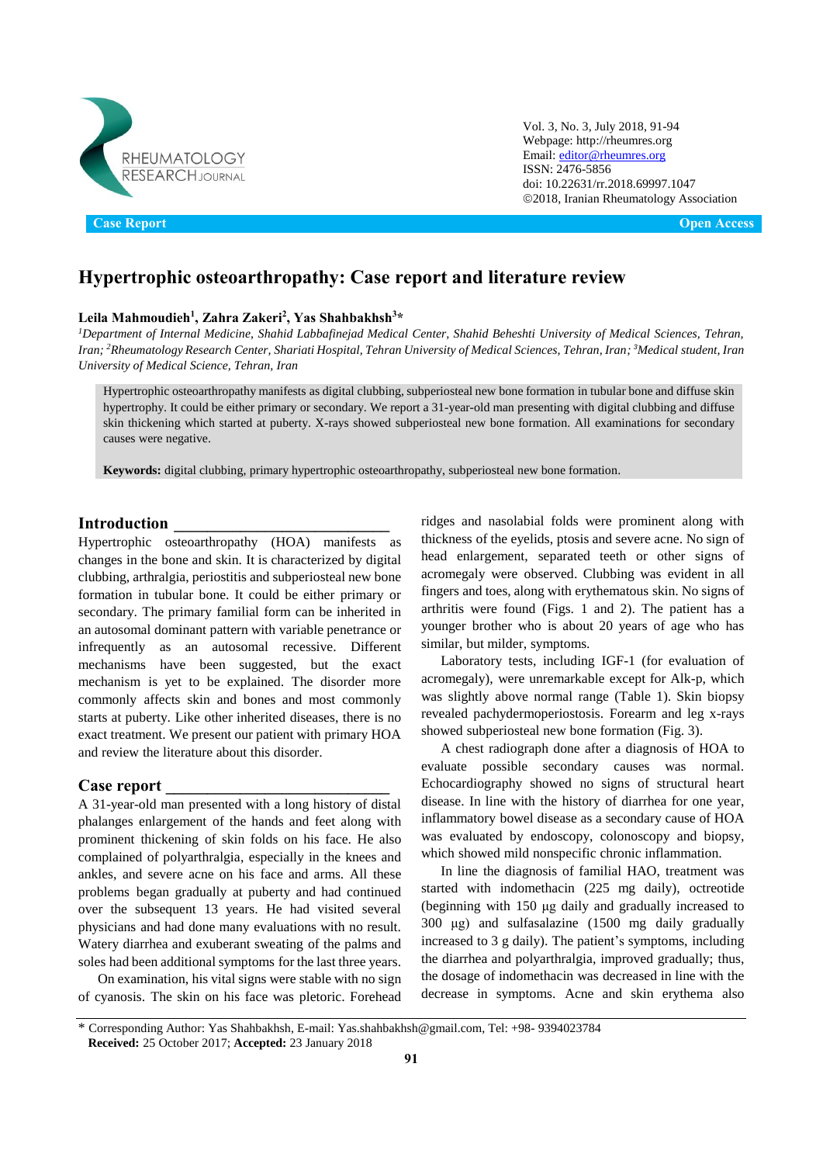

Vol. 3, No. 3, July 2018, 91-94 Webpage: http://rheumres.org Email[: editor@rheumres.org](mailto:editor@rheumres.org) ISSN: 2476-5856 doi[: 10.22631/rr.2018.69997.1047](http://dx.doi.org/10.22631/rr.2017.69997.1021) 2018, Iranian Rheumatology Association

**Case Report Open Access** 

# **Hypertrophic osteoarthropathy: Case report and literature review**

### **Leila Mahmoudieh<sup>1</sup> , Zahra Zakeri<sup>2</sup> , Yas Shahbakhsh<sup>3</sup>\***

*<sup>1</sup>Department of Internal Medicine, Shahid Labbafinejad Medical Center, Shahid Beheshti University of Medical Sciences, Tehran, Iran; <sup>2</sup>Rheumatology Research Center, Shariati Hospital, Tehran University of Medical Sciences, Tehran, Iran; 3Medical student, Iran University of Medical Science, Tehran, Iran* 

Hypertrophic osteoarthropathy manifests as digital clubbing, subperiosteal new bone formation in tubular bone and diffuse skin hypertrophy. It could be either primary or secondary. We report a 31-year-old man presenting with digital clubbing and diffuse skin thickening which started at puberty. X-rays showed subperiosteal new bone formation. All examinations for secondary causes were negative.

**Keywords:** digital clubbing, primary hypertrophic osteoarthropathy, subperiosteal new bone formation.

## **Introduction \_\_\_\_\_\_\_\_\_\_\_\_\_\_\_\_\_\_\_\_\_\_\_\_\_\_**

Hypertrophic osteoarthropathy (HOA) manifests as changes in the bone and skin. It is characterized by digital clubbing, arthralgia, periostitis and subperiosteal new bone formation in tubular bone. It could be either primary or secondary. The primary familial form can be inherited in an autosomal dominant pattern with variable penetrance or infrequently as an autosomal recessive. Different mechanisms have been suggested, but the exact mechanism is yet to be explained. The disorder more commonly affects skin and bones and most commonly starts at puberty. Like other inherited diseases, there is no exact treatment. We present our patient with primary HOA and review the literature about this disorder.

### **Case report \_\_\_\_\_\_\_\_\_\_\_\_\_\_\_\_\_\_\_\_\_\_\_\_\_\_\_**

A 31-year-old man presented with a long history of distal phalanges enlargement of the hands and feet along with prominent thickening of skin folds on his face. He also complained of polyarthralgia, especially in the knees and ankles, and severe acne on his face and arms. All these problems began gradually at puberty and had continued over the subsequent 13 years. He had visited several physicians and had done many evaluations with no result. Watery diarrhea and exuberant sweating of the palms and soles had been additional symptoms for the last three years.

On examination, his vital signs were stable with no sign of cyanosis. The skin on his face was pletoric. Forehead ridges and nasolabial folds were prominent along with thickness of the eyelids, ptosis and severe acne. No sign of head enlargement, separated teeth or other signs of acromegaly were observed. Clubbing was evident in all fingers and toes, along with erythematous skin. No signs of arthritis were found (Figs. 1 and 2). The patient has a younger brother who is about 20 years of age who has similar, but milder, symptoms.

Laboratory tests, including IGF-1 (for evaluation of acromegaly), were unremarkable except for Alk-p, which was slightly above normal range (Table 1). Skin biopsy revealed pachydermoperiostosis. Forearm and leg x-rays showed subperiosteal new bone formation (Fig. 3).

A chest radiograph done after a diagnosis of HOA to evaluate possible secondary causes was normal. Echocardiography showed no signs of structural heart disease. In line with the history of diarrhea for one year, inflammatory bowel disease as a secondary cause of HOA was evaluated by endoscopy, colonoscopy and biopsy, which showed mild nonspecific chronic inflammation.

In line the diagnosis of familial HAO, treatment was started with indomethacin (225 mg daily), octreotide (beginning with 150 μg daily and gradually increased to 300 μg) and sulfasalazine (1500 mg daily gradually increased to 3 g daily). The patient's symptoms, including the diarrhea and polyarthralgia, improved gradually; thus, the dosage of indomethacin was decreased in line with the decrease in symptoms. Acne and skin erythema also

<sup>\*</sup> Corresponding Author: Yas Shahbakhsh, E-mail: Yas.shahbakhsh@gmail.com, Tel: +98- 9394023784 **Received:** 25 October 2017; **Accepted:** 23 January 2018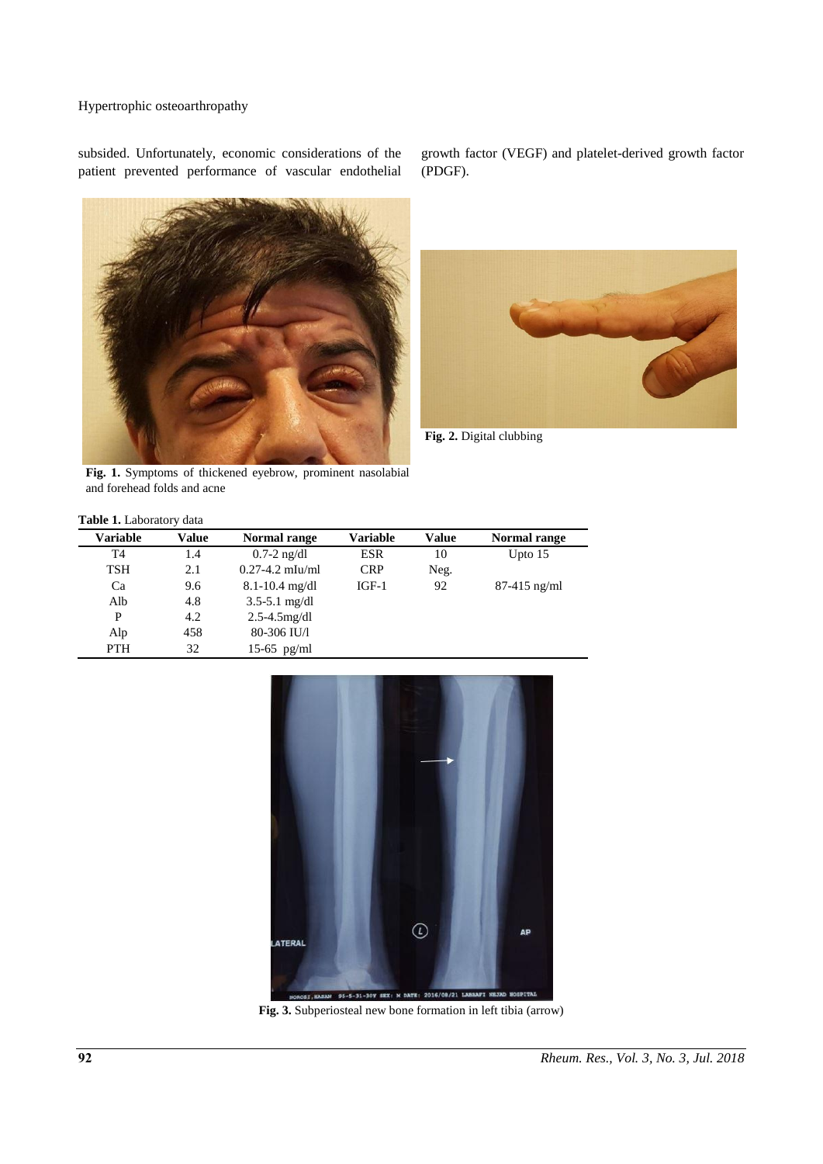# Hypertrophic osteoarthropathy

subsided. Unfortunately, economic considerations of the patient prevented performance of vascular endothelial



growth factor (VEGF) and platelet-derived growth factor (PDGF).



**Fig. 2.** Digital clubbing

**Fig. 1.** Symptoms of thickened eyebrow, prominent nasolabial and forehead folds and acne

| <b>Table 1.</b> Laboratory data |       |                     |                 |       |                |  |
|---------------------------------|-------|---------------------|-----------------|-------|----------------|--|
| <b>Variable</b>                 | Value | Normal range        | <b>Variable</b> | Value | Normal range   |  |
| T4                              | 1.4   | $0.7-2$ ng/dl       | <b>ESR</b>      | 10    | Upto $15$      |  |
| TSH                             | 2.1   | $0.27 - 4.2$ mIu/ml | <b>CRP</b>      | Neg.  |                |  |
| Ca                              | 9.6   | $8.1 - 10.4$ mg/dl  | $IGF-1$         | 92    | $87-415$ ng/ml |  |
| Alb                             | 4.8   | $3.5 - 5.1$ mg/dl   |                 |       |                |  |
| P                               | 4.2   | $2.5 - 4.5$ mg/dl   |                 |       |                |  |
| Alp                             | 458   | 80-306 IU/l         |                 |       |                |  |
| <b>PTH</b>                      | 32    | $15-65$ pg/ml       |                 |       |                |  |



**Fig. 3.** Subperiosteal new bone formation in left tibia (arrow)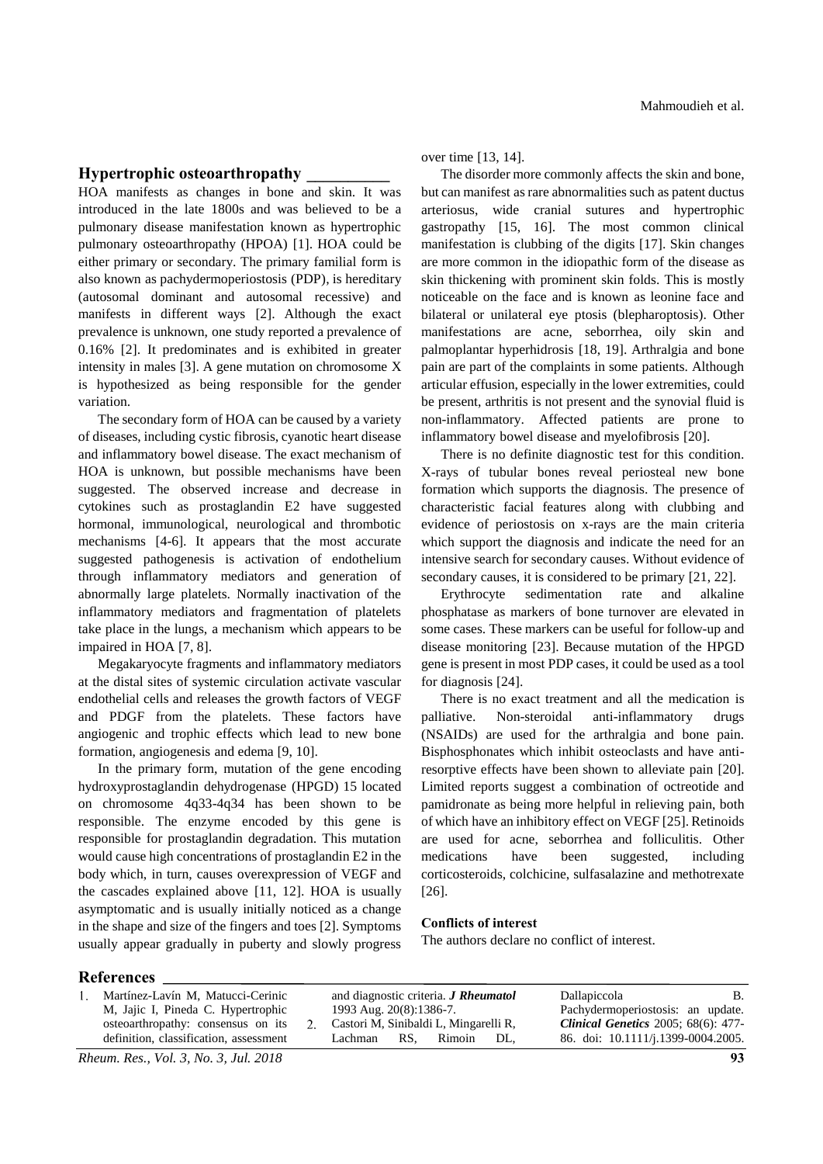## **Hypertrophic osteoarthropathy \_\_\_\_\_\_\_\_\_\_**

HOA manifests as changes in bone and skin. It was introduced in the late 1800s and was believed to be a pulmonary disease manifestation known as hypertrophic pulmonary osteoarthropathy (HPOA) [1]. HOA could be either primary or secondary. The primary familial form is also known as pachydermoperiostosis (PDP), is hereditary (autosomal dominant and autosomal recessive) and manifests in different ways [2]. Although the exact prevalence is unknown, one study reported a prevalence of 0.16% [2]. It predominates and is exhibited in greater intensity in males [3]. A gene mutation on chromosome X is hypothesized as being responsible for the gender variation.

The secondary form of HOA can be caused by a variety of diseases, including cystic fibrosis, cyanotic heart disease and inflammatory bowel disease. The exact mechanism of HOA is unknown, but possible mechanisms have been suggested. The observed increase and decrease in cytokines such as prostaglandin E2 have suggested hormonal, immunological, neurological and thrombotic mechanisms [4-6]. It appears that the most accurate suggested pathogenesis is activation of endothelium through inflammatory mediators and generation of abnormally large platelets. Normally inactivation of the inflammatory mediators and fragmentation of platelets take place in the lungs, a mechanism which appears to be impaired in HOA [7, 8].

Megakaryocyte fragments and inflammatory mediators at the distal sites of systemic circulation activate vascular endothelial cells and releases the growth factors of VEGF and PDGF from the platelets. These factors have angiogenic and trophic effects which lead to new bone formation, angiogenesis and edema [9, 10].

In the primary form, mutation of the gene encoding hydroxyprostaglandin dehydrogenase (HPGD) 15 located on chromosome 4q33-4q34 has been shown to be responsible. The enzyme encoded by this gene is responsible for prostaglandin degradation. This mutation would cause high concentrations of prostaglandin E2 in the body which, in turn, causes overexpression of VEGF and the cascades explained above [11, 12]. HOA is usually asymptomatic and is usually initially noticed as a change in the shape and size of the fingers and toes [2]. Symptoms usually appear gradually in puberty and slowly progress over time [13, 14].

The disorder more commonly affects the skin and bone, but can manifest as rare abnormalities such as patent ductus arteriosus, wide cranial sutures and hypertrophic gastropathy [15, 16]. The most common clinical manifestation is clubbing of the digits [17]. Skin changes are more common in the idiopathic form of the disease as skin thickening with prominent skin folds. This is mostly noticeable on the face and is known as leonine face and bilateral or unilateral eye ptosis (blepharoptosis). Other manifestations are acne, seborrhea, oily skin and palmoplantar hyperhidrosis [18, 19]. Arthralgia and bone pain are part of the complaints in some patients. Although articular effusion, especially in the lower extremities, could be present, arthritis is not present and the synovial fluid is non-inflammatory. Affected patients are prone to inflammatory bowel disease and myelofibrosis [20].

There is no definite diagnostic test for this condition. X-rays of tubular bones reveal periosteal new bone formation which supports the diagnosis. The presence of characteristic facial features along with clubbing and evidence of periostosis on x-rays are the main criteria which support the diagnosis and indicate the need for an intensive search for secondary causes. Without evidence of secondary causes, it is considered to be primary [21, 22].

Erythrocyte sedimentation rate and alkaline phosphatase as markers of bone turnover are elevated in some cases. These markers can be useful for follow-up and disease monitoring [23]. Because mutation of the HPGD gene is present in most PDP cases, it could be used as a tool for diagnosis [24].

There is no exact treatment and all the medication is palliative. Non-steroidal anti-inflammatory drugs (NSAIDs) are used for the arthralgia and bone pain. Bisphosphonates which inhibit osteoclasts and have antiresorptive effects have been shown to alleviate pain [20]. Limited reports suggest a combination of octreotide and pamidronate as being more helpful in relieving pain, both of which have an inhibitory effect on VEGF [25]. Retinoids are used for acne, seborrhea and folliculitis. Other medications have been suggested, including corticosteroids, colchicine, sulfasalazine and methotrexate [26].

# **Conflicts of interest**

The authors declare no conflict of interest.

#### **References**

| 1993 Aug. 20(8):1386-7.<br>Pachydermoperiostosis: an update.<br>M, Jajic I, Pineda C. Hypertrophic<br><b>Clinical Genetics 2005; 68(6): 477-</b><br>Castori M, Sinibaldi L, Mingarelli R,<br>osteoarthropathy: consensus on its<br>86. doi: 10.1111/j.1399-0004.2005.<br>definition, classification, assessment<br>Rimoin<br>Lachman<br>RS.<br>DL. |  |
|----------------------------------------------------------------------------------------------------------------------------------------------------------------------------------------------------------------------------------------------------------------------------------------------------------------------------------------------------|--|
|----------------------------------------------------------------------------------------------------------------------------------------------------------------------------------------------------------------------------------------------------------------------------------------------------------------------------------------------------|--|

*Rheum. Res., Vol. 3, No. 3, Jul. 2018* **93**